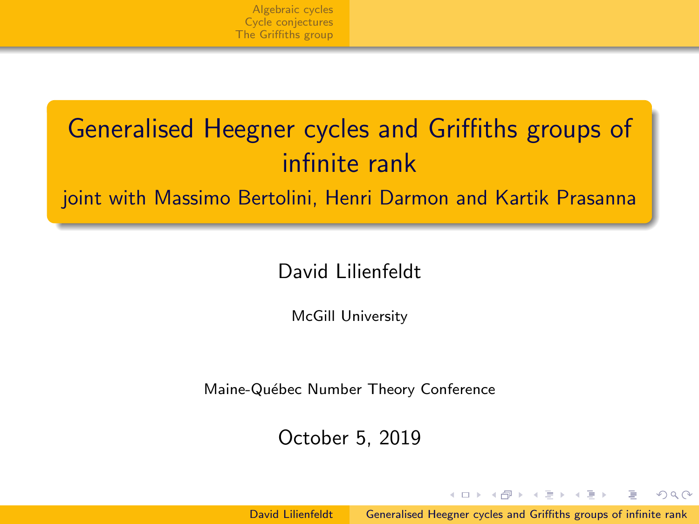# <span id="page-0-0"></span>Generalised Heegner cycles and Griffiths groups of infinite rank

## joint with Massimo Bertolini, Henri Darmon and Kartik Prasanna

## David Lilienfeldt

McGill University

Maine-Québec Number Theory Conference

October 5, 2019

David Lilienfeldt [Generalised Heegner cycles and Griffiths groups of infinite rank](#page-9-0)

イロン イ押ン イヨン イヨン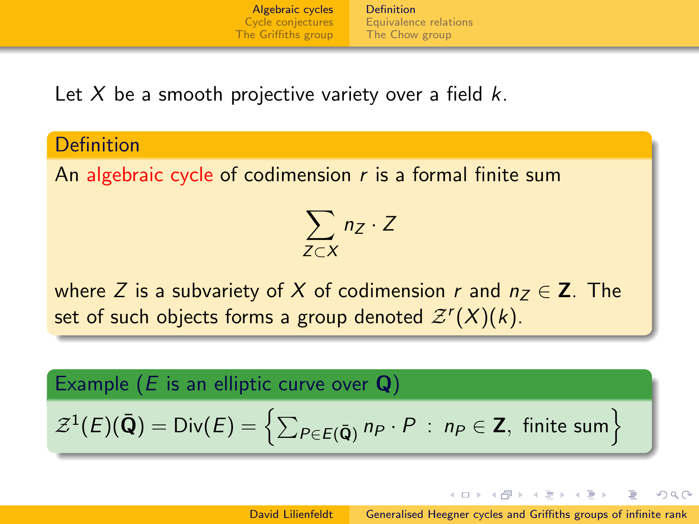[Definition](#page-1-0) [Equivalence relations](#page-2-0) [The Chow group](#page-3-0)

<span id="page-1-0"></span>Let X be a smooth projective variety over a field  $k$ .

#### **Definition**

An algebraic cycle of codimension  $r$  is a formal finite sum

$$
\sum_{Z\subset X} n_Z\cdot Z
$$

where Z is a subvariety of X of codimension r and  $n_7 \in \mathbb{Z}$ . The set of such objects forms a group denoted  $\mathcal{Z}^r(X)(k).$ 

Example (*E* is an elliptic curve over **Q**)  
\n
$$
\mathcal{Z}^1(E)(\bar{Q}) = \text{Div}(E) = \left\{ \sum_{P \in E(\bar{Q})} n_P \cdot P : n_P \in Z, \text{ finite sum} \right\}
$$

イロト イ母 トイヨ トイヨト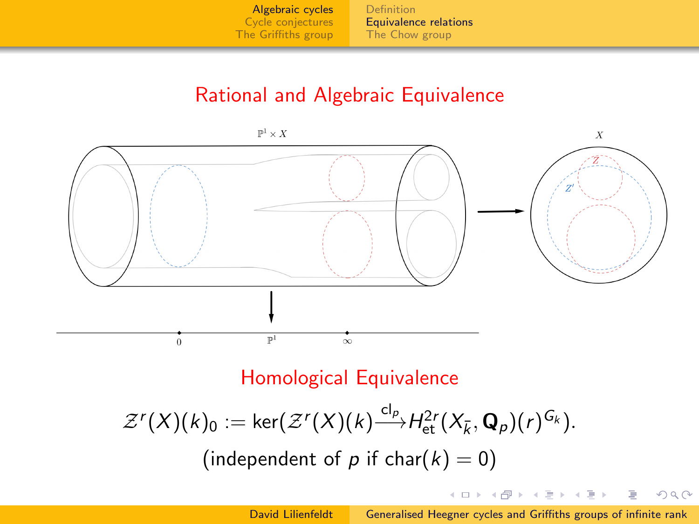[Definition](#page-1-0) [Equivalence relations](#page-2-0) [The Chow group](#page-3-0)

# Rational and Algebraic Equivalence

 $\mathbb{P}^1 \times X$ 

<span id="page-2-0"></span>

## Homological Equivalence

$$
\mathcal{Z}^r(X)(k)_0 := \ker(\mathcal{Z}^r(X)(k) \xrightarrow{cl_p} H_{\text{et}}^{2r}(X_{\bar{k}}, \mathbf{Q}_p)(r)^{G_k}).
$$
  
(independent of *p* if char(*k*) = 0)

イロン イ押ン イヨン イヨン

 $2Q$ 

э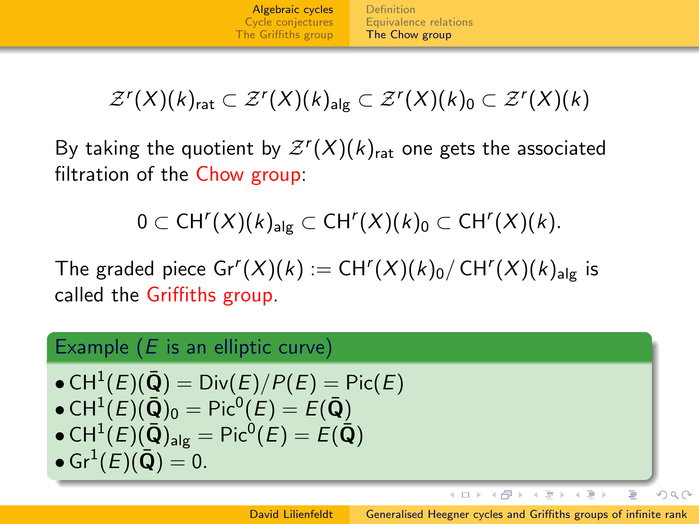[Definition](#page-1-0) [Equivalence relations](#page-2-0) [The Chow group](#page-3-0)

<span id="page-3-0"></span>
$$
\mathcal{Z}^r(X)(k)_{\text{rat}} \subset \mathcal{Z}^r(X)(k)_{\text{alg}} \subset \mathcal{Z}^r(X)(k)_{0} \subset \mathcal{Z}^r(X)(k)
$$

By taking the quotient by  $\mathcal{Z}^r(X)(k)_{\mathsf{rat}}$  one gets the associated filtration of the Chow group:

$$
0 \subset CH^{r}(X)(k)_{\text{alg}} \subset CH^{r}(X)(k)_{0} \subset CH^{r}(X)(k).
$$

The graded piece  $\mathsf{Gr}^r(X)(k) := \mathsf{CH}^r(X)(k)_0 / \mathsf{CH}^r(X)(k)_{\mathsf{alg}}$  is called the Griffiths group.

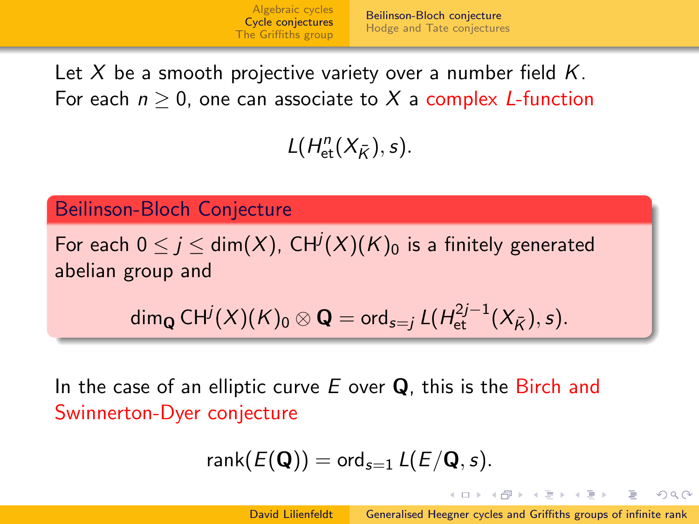<span id="page-4-0"></span>Let X be a smooth projective variety over a number field  $K$ . For each  $n > 0$ , one can associate to X a complex L-function

 $L(H^n_{\text{et}}(X_{\bar{K}}), s).$ 

Beilinson-Bloch Conjecture

For each  $0 \leq j \leq \mathsf{dim} (X)$ , CH $^j(X)(K)_0$  is a finitely generated abelian group and

 $\dim_{{\bf Q}} {\{ CH^j(X)(K)_0 \otimes {\bf Q} = {\rm ord}_{s=j} \, L(H^{2j-1}_{\rm et}(X_{\bar K}), s) .}$ 

In the case of an elliptic curve  $E$  over  $Q$ , this is the Birch and Swinnerton-Dyer conjecture

$$
\mathsf{rank}(E(\mathbf{Q})) = \mathsf{ord}_{s=1} \, L(E/\mathbf{Q},s).
$$

イロト イ押 トイラト イラトー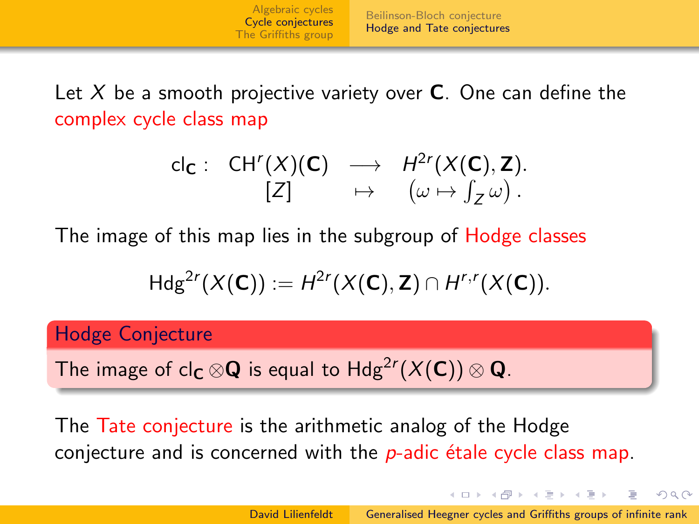<span id="page-5-0"></span>Let X be a smooth projective variety over  $C$ . One can define the complex cycle class map

$$
\begin{array}{cccc} cl_{\mathbf{C}}: & CH^{r}(X)(\mathbf{C}) & \longrightarrow & H^{2r}(X(\mathbf{C}), \mathbf{Z}). \\ & [Z] & \mapsto & (\omega \mapsto \int_{Z} \omega). \end{array}
$$

The image of this map lies in the subgroup of Hodge classes

$$
Hdg^{2r}(X(\mathbf{C})) := H^{2r}(X(\mathbf{C}), \mathbf{Z}) \cap H^{r,r}(X(\mathbf{C})).
$$

Hodge Conjecture

The image of cl $_{\mathsf{C}}\otimes\mathsf{Q}$  is equal to  $\mathsf{Hdg}^{2r}(X(\mathsf{C}))\otimes\mathsf{Q}.$ 

The Tate conjecture is the arithmetic analog of the Hodge conjecture and is concerned with the  $p$ -adic étale cycle class map.

イロメ イ押メ イヨメ イヨメー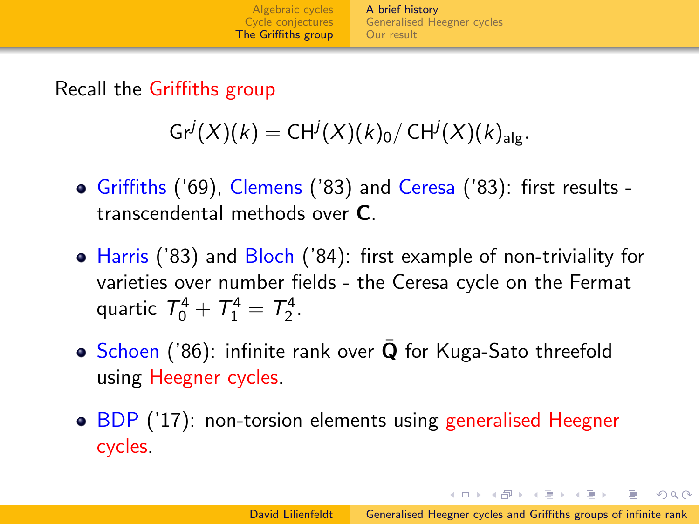[A brief history](#page-6-0) [Generalised Heegner cycles](#page-7-0) [Our result](#page-8-0)

<span id="page-6-0"></span>Recall the Griffiths group

 $\mathsf{Gr}^j(X)(k) = \mathsf{CH}^j(X)(k)_0 / \mathsf{CH}^j(X)(k)_{\mathsf{alg}}.$ 

- Griffiths ('69), Clemens ('83) and Ceresa ('83): first results transcendental methods over C.
- Harris ('83) and Bloch ('84): first example of non-triviality for varieties over number fields - the Ceresa cycle on the Fermat quartic  $T_0^4 + T_1^4 = T_2^4$ .
- Schoen ('86): infinite rank over  $\bar{Q}$  for Kuga-Sato threefold using Heegner cycles.
- BDP ('17): non-torsion elements using generalised Heegner cycles.

イロト イ押 トイヨ トイヨ トーヨ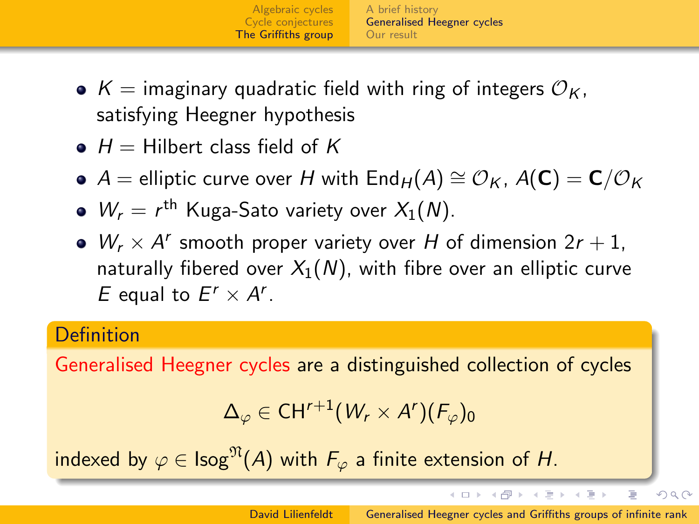[A brief history](#page-6-0) [Generalised Heegner cycles](#page-7-0) [Our result](#page-8-0)

- <span id="page-7-0"></span>•  $K =$  imaginary quadratic field with ring of integers  $\mathcal{O}_K$ , satisfying Heegner hypothesis
- $\bullet$  H = Hilbert class field of K
- $\bullet$  A = elliptic curve over H with End<sub>H</sub>(A)  $\cong$  O<sub>K</sub>, A(C) = C/O<sub>K</sub>
- $W_r = r^{\text{th}}$  Kuga-Sato variety over  $X_1(N)$ .
- $W_r \times A^r$  smooth proper variety over H of dimension  $2r + 1$ , naturally fibered over  $X_1(N)$ , with fibre over an elliptic curve E equal to  $E^r \times A^r$ .

#### **Definition**

Generalised Heegner cycles are a distinguished collection of cycles

$$
\Delta_{\varphi}\in CH^{r+1}(W_r\times A^r)(F_{\varphi})_0
$$

indexed by  $\varphi \in \text{Isog}^{\mathfrak{N}}(A)$  with  $F_{\varphi}$  a finite extension of H.

イロン イ押ン イヨン イヨン

Þ

 $OQ$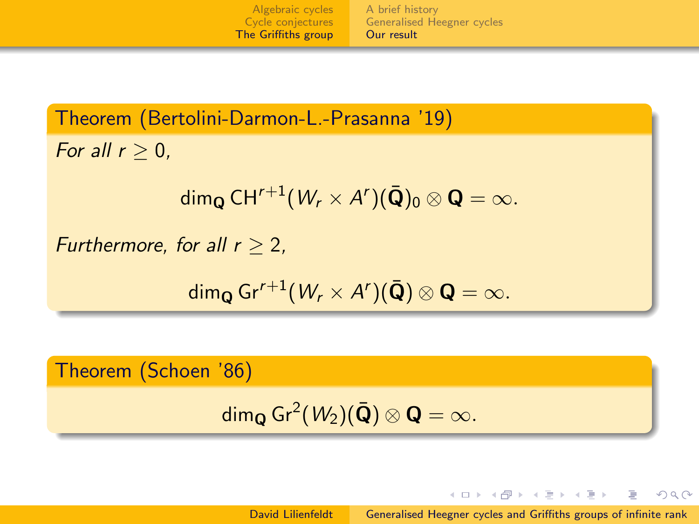[Algebraic cycles](#page-1-0) [Cycle conjectures](#page-4-0) [The Griffiths group](#page-6-0) [A brief history](#page-6-0) [Generalised Heegner cycles](#page-7-0) [Our result](#page-8-0)

<span id="page-8-0"></span>Theorem (Bertolini-Darmon-L.-Prasanna '19) For all  $r > 0$ ,

dim $_{\mathbf{Q}}$  CH<sup>r+1</sup> $(W_{r}\times A^{r})(\bar{\mathbf{Q}})_{0}\otimes\mathbf{Q}=\infty.$ 

Furthermore, for all  $r > 2$ .

 $\dim_{{\bf Q}}\mathsf{Gr}^{r+1}(W_r\times A^r)({\bf \bar{Q}})\otimes {\bf Q}=\infty.$ 

Theorem (Schoen '86)

```
dim_{\mathbf{Q}} Gr<sup>2</sup>(W_2)(\bar{\mathbf{Q}}) \otimes \mathbf{Q} = \infty.
```
David Lilienfeldt [Generalised Heegner cycles and Griffiths groups of infinite rank](#page-0-0)

イロン イ押ン イヨン イヨン